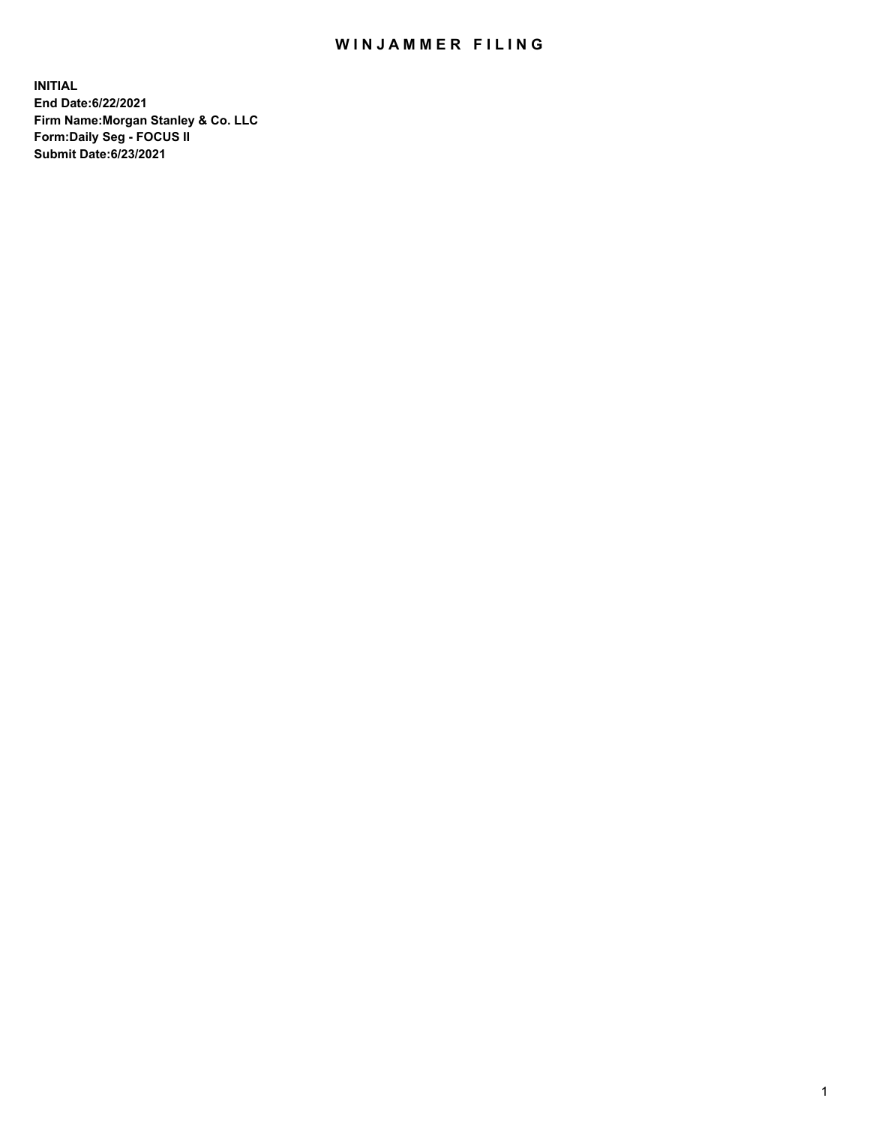## WIN JAMMER FILING

**INITIAL End Date:6/22/2021 Firm Name:Morgan Stanley & Co. LLC Form:Daily Seg - FOCUS II Submit Date:6/23/2021**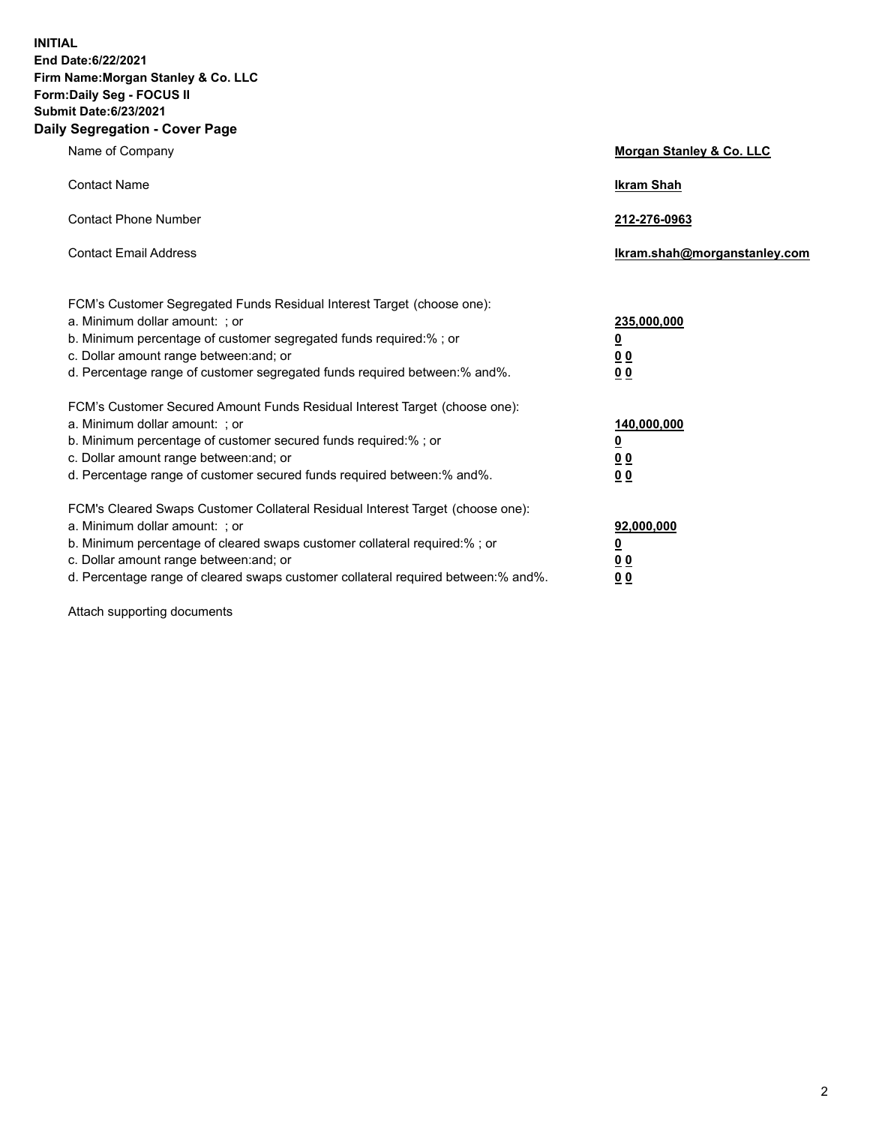**INITIAL End Date:6/22/2021 Firm Name:Morgan Stanley & Co. LLC Form:Daily Seg - FOCUS II Submit Date:6/23/2021 Daily Segregation - Cover Page**

| Name of Company                                                                                                                                                                                                                                                                                                                | Morgan Stanley & Co. LLC                               |
|--------------------------------------------------------------------------------------------------------------------------------------------------------------------------------------------------------------------------------------------------------------------------------------------------------------------------------|--------------------------------------------------------|
| <b>Contact Name</b>                                                                                                                                                                                                                                                                                                            | <b>Ikram Shah</b>                                      |
| <b>Contact Phone Number</b>                                                                                                                                                                                                                                                                                                    | 212-276-0963                                           |
| <b>Contact Email Address</b>                                                                                                                                                                                                                                                                                                   | Ikram.shah@morganstanley.com                           |
| FCM's Customer Segregated Funds Residual Interest Target (choose one):<br>a. Minimum dollar amount: ; or<br>b. Minimum percentage of customer segregated funds required:% ; or<br>c. Dollar amount range between: and; or<br>d. Percentage range of customer segregated funds required between: % and %.                       | 235,000,000<br><u>0</u><br>00<br>0 <sub>0</sub>        |
| FCM's Customer Secured Amount Funds Residual Interest Target (choose one):<br>a. Minimum dollar amount: ; or<br>b. Minimum percentage of customer secured funds required:% ; or<br>c. Dollar amount range between: and; or<br>d. Percentage range of customer secured funds required between:% and%.                           | 140,000,000<br><u>0</u><br><u>00</u><br>0 <sub>0</sub> |
| FCM's Cleared Swaps Customer Collateral Residual Interest Target (choose one):<br>a. Minimum dollar amount: ; or<br>b. Minimum percentage of cleared swaps customer collateral required:% ; or<br>c. Dollar amount range between: and; or<br>d. Percentage range of cleared swaps customer collateral required between:% and%. | 92,000,000<br><u>0</u><br><u>00</u><br>00              |

Attach supporting documents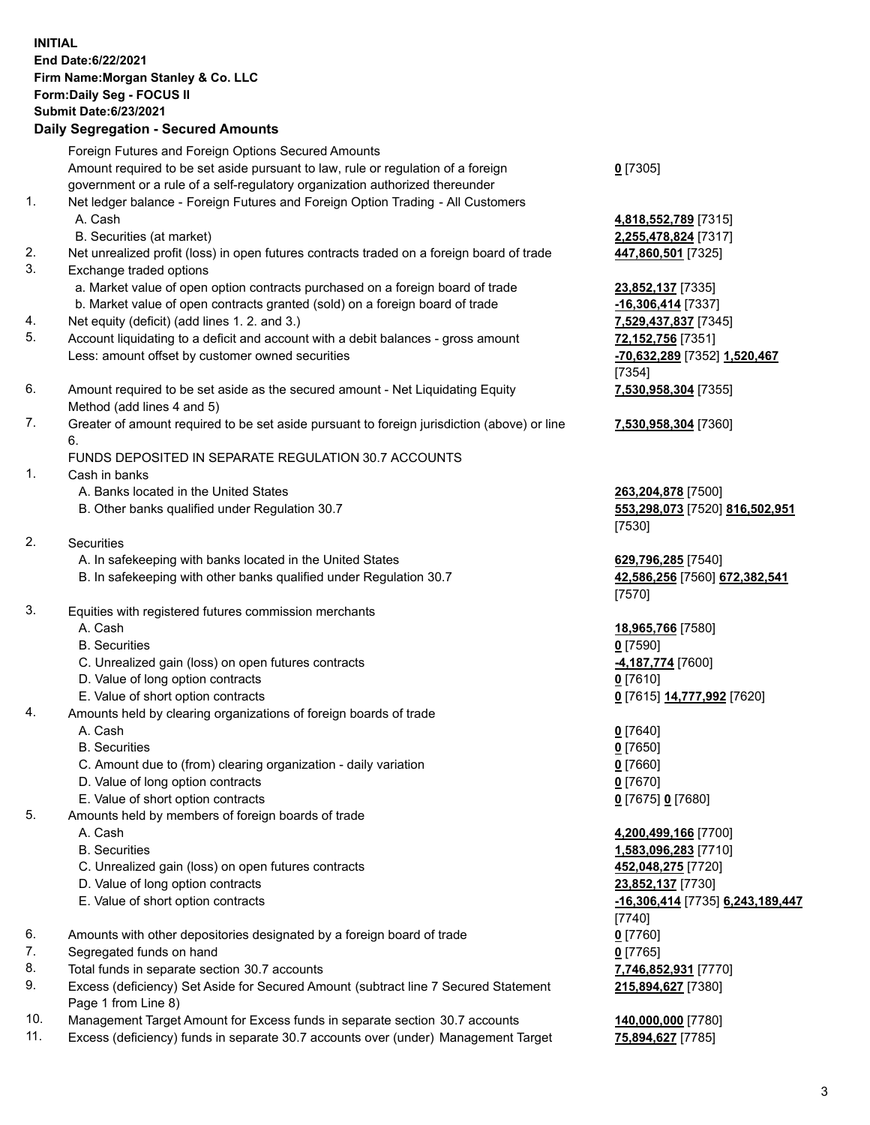## **INITIAL End Date:6/22/2021 Firm Name:Morgan Stanley & Co. LLC Form:Daily Seg - FOCUS II Submit Date:6/23/2021**

## **Daily Segregation - Secured Amounts**

Foreign Futures and Foreign Options Secured Amounts Amount required to be set aside pursuant to law, rule or regulation of a foreign government or a rule of a self-regulatory organization authorized thereunder 1. Net ledger balance - Foreign Futures and Foreign Option Trading - All Customers A. Cash **4,818,552,789** [7315] B. Securities (at market) **2,255,478,824** [7317] 2. Net unrealized profit (loss) in open futures contracts traded on a foreign board of trade **447,860,501** [7325] 3. Exchange traded options a. Market value of open option contracts purchased on a foreign board of trade **23,852,137** [7335] b. Market value of open contracts granted (sold) on a foreign board of trade **-16,306,414** [7337] 4. Net equity (deficit) (add lines 1. 2. and 3.) **7,529,437,837** [7345] 5. Account liquidating to a deficit and account with a debit balances - gross amount **72,152,756** [7351] Less: amount offset by customer owned securities **-70,632,289** [7352] **1,520,467** 6. Amount required to be set aside as the secured amount - Net Liquidating Equity Method (add lines 4 and 5) 7. Greater of amount required to be set aside pursuant to foreign jurisdiction (above) or line 6. FUNDS DEPOSITED IN SEPARATE REGULATION 30.7 ACCOUNTS

- 1. Cash in banks
	- A. Banks located in the United States **263,204,878** [7500]
	- B. Other banks qualified under Regulation 30.7 **553,298,073** [7520] **816,502,951**
- 2. Securities
	- A. In safekeeping with banks located in the United States **629,796,285** [7540]
	- B. In safekeeping with other banks qualified under Regulation 30.7 **42,586,256** [7560] **672,382,541**
- 3. Equities with registered futures commission merchants
	-
	- B. Securities **0** [7590]
	- C. Unrealized gain (loss) on open futures contracts **-4,187,774** [7600]
	- D. Value of long option contracts **0** [7610]
	- E. Value of short option contracts **0** [7615] **14,777,992** [7620]
- 4. Amounts held by clearing organizations of foreign boards of trade
	-
	- B. Securities **0** [7650]
	- C. Amount due to (from) clearing organization daily variation **0** [7660]
	- D. Value of long option contracts **0** [7670]
	- E. Value of short option contracts **0** [7675] **0** [7680]
- 5. Amounts held by members of foreign boards of trade
	-
	-
	- C. Unrealized gain (loss) on open futures contracts **452,048,275** [7720]
	- D. Value of long option contracts **23,852,137** [7730]
	- E. Value of short option contracts **-16,306,414** [7735] **6,243,189,447**
- 6. Amounts with other depositories designated by a foreign board of trade **0** [7760]
- 7. Segregated funds on hand **0** [7765]
- 8. Total funds in separate section 30.7 accounts **7,746,852,931** [7770]
- 9. Excess (deficiency) Set Aside for Secured Amount (subtract line 7 Secured Statement Page 1 from Line 8)
- 10. Management Target Amount for Excess funds in separate section 30.7 accounts **140,000,000** [7780]
- 11. Excess (deficiency) funds in separate 30.7 accounts over (under) Management Target **75,894,627** [7785]

**0** [7305]

[7354] **7,530,958,304** [7355]

**7,530,958,304** [7360]

[7530]

[7570]

A. Cash **18,965,766** [7580]

A. Cash **0** [7640]

 A. Cash **4,200,499,166** [7700] B. Securities **1,583,096,283** [7710] [7740] **215,894,627** [7380]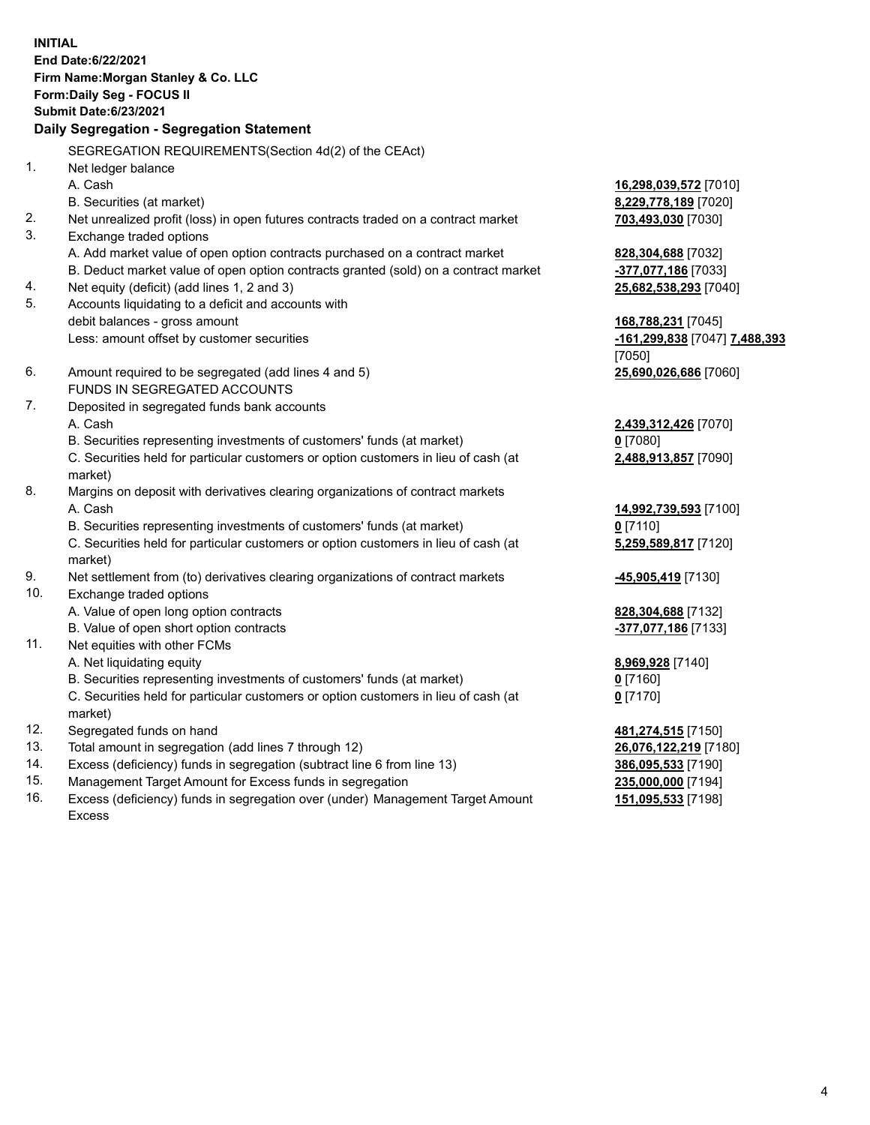**INITIAL End Date:6/22/2021 Firm Name:Morgan Stanley & Co. LLC Form:Daily Seg - FOCUS II Submit Date:6/23/2021 Daily Segregation - Segregation Statement** SEGREGATION REQUIREMENTS(Section 4d(2) of the CEAct) 1. Net ledger balance A. Cash **16,298,039,572** [7010] B. Securities (at market) **8,229,778,189** [7020] 2. Net unrealized profit (loss) in open futures contracts traded on a contract market **703,493,030** [7030] 3. Exchange traded options A. Add market value of open option contracts purchased on a contract market **828,304,688** [7032] B. Deduct market value of open option contracts granted (sold) on a contract market **-377,077,186** [7033] 4. Net equity (deficit) (add lines 1, 2 and 3) **25,682,538,293** [7040] 5. Accounts liquidating to a deficit and accounts with debit balances - gross amount **168,788,231** [7045] Less: amount offset by customer securities **-161,299,838** [7047] **7,488,393** [7050] 6. Amount required to be segregated (add lines 4 and 5) **25,690,026,686** [7060] FUNDS IN SEGREGATED ACCOUNTS 7. Deposited in segregated funds bank accounts A. Cash **2,439,312,426** [7070] B. Securities representing investments of customers' funds (at market) **0** [7080] C. Securities held for particular customers or option customers in lieu of cash (at market) **2,488,913,857** [7090] 8. Margins on deposit with derivatives clearing organizations of contract markets A. Cash **14,992,739,593** [7100] B. Securities representing investments of customers' funds (at market) **0** [7110] C. Securities held for particular customers or option customers in lieu of cash (at market) **5,259,589,817** [7120] 9. Net settlement from (to) derivatives clearing organizations of contract markets **-45,905,419** [7130] 10. Exchange traded options A. Value of open long option contracts **828,304,688** [7132] B. Value of open short option contracts **-377,077,186** [7133] 11. Net equities with other FCMs A. Net liquidating equity **8,969,928** [7140] B. Securities representing investments of customers' funds (at market) **0** [7160] C. Securities held for particular customers or option customers in lieu of cash (at market) **0** [7170] 12. Segregated funds on hand **481,274,515** [7150] 13. Total amount in segregation (add lines 7 through 12) **26,076,122,219** [7180] 14. Excess (deficiency) funds in segregation (subtract line 6 from line 13) **386,095,533** [7190] 15. Management Target Amount for Excess funds in segregation **235,000,000** [7194]

16. Excess (deficiency) funds in segregation over (under) Management Target Amount Excess

**151,095,533** [7198]